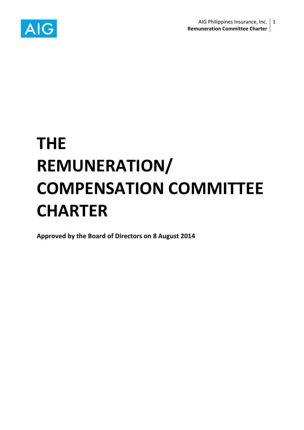

# **THE REMUNERATION/ COMPENSATION COMMITTEE CHARTER**

**Approved by the Board of Directors on 8 August 2014**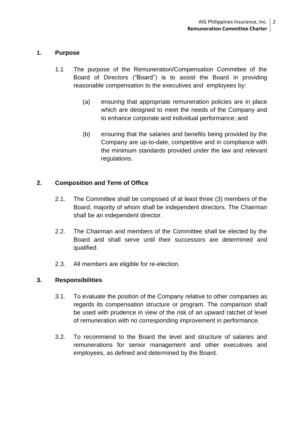#### **1. Purpose**

- 1.1 The purpose of the Remuneration/Compensation Committee of the Board of Directors ("Board") is to assist the Board in providing reasonable compensation to the executives and employees by:
	- (a) ensuring that appropriate remuneration policies are in place which are designed to meet the needs of the Company and to enhance corporate and individual performance; and
	- (b) ensuring that the salaries and benefits being provided by the Company are up-to-date, competitive and in compliance with the minimum standards provided under the law and relevant regulations.

## **2. Composition and Term of Office**

- 2.1. The Committee shall be composed of at least three (3) members of the Board, majority of whom shall be independent directors. The Chairman shall be an independent director.
- 2.2. The Chairman and members of the Committee shall be elected by the Board and shall serve until their successors are determined and qualified.
- 2.3. All members are eligible for re-election.

## **3. Responsibilities**

- 3.1. To evaluate the position of the Company relative to other companies as regards its compensation structure or program. The comparison shall be used with prudence in view of the risk of an upward ratchet of level of remuneration with no corresponding improvement in performance.
- 3.2. To recommend to the Board the level and structure of salaries and remunerations for senior management and other executives and employees, as defined and determined by the Board.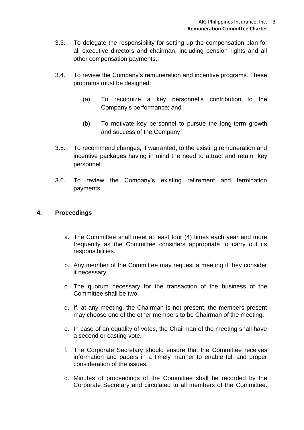- 3.3. To delegate the responsibility for setting up the compensation plan for all executive directors and chairman, including pension rights and all other compensation payments.
- 3.4. To review the Company's remuneration and incentive programs. These programs must be designed:
	- (a) To recognize a key personnel's contribution to the Company's performance; and
	- (b) To motivate key personnel to pursue the long-term growth and success of the Company.
- 3.5. To recommend changes, if warranted, to the existing remuneration and incentive packages having in mind the need to attract and retain key personnel.
- 3.6. To review the Company's existing retirement and termination payments.

#### **4. Proceedings**

- a. The Committee shall meet at least four (4) times each year and more frequently as the Committee considers appropriate to carry out its responsibilities.
- b. Any member of the Committee may request a meeting if they consider it necessary.
- c. The quorum necessary for the transaction of the business of the Committee shall be two.
- d. If, at any meeting, the Chairman is not present, the members present may choose one of the other members to be Chairman of the meeting.
- e. In case of an equality of votes, the Chairman of the meeting shall have a second or casting vote.
- f. The Corporate Secretary should ensure that the Committee receives information and papers in a timely manner to enable full and proper consideration of the issues.
- g. Minutes of proceedings of the Committee shall be recorded by the Corporate Secretary and circulated to all members of the Committee.